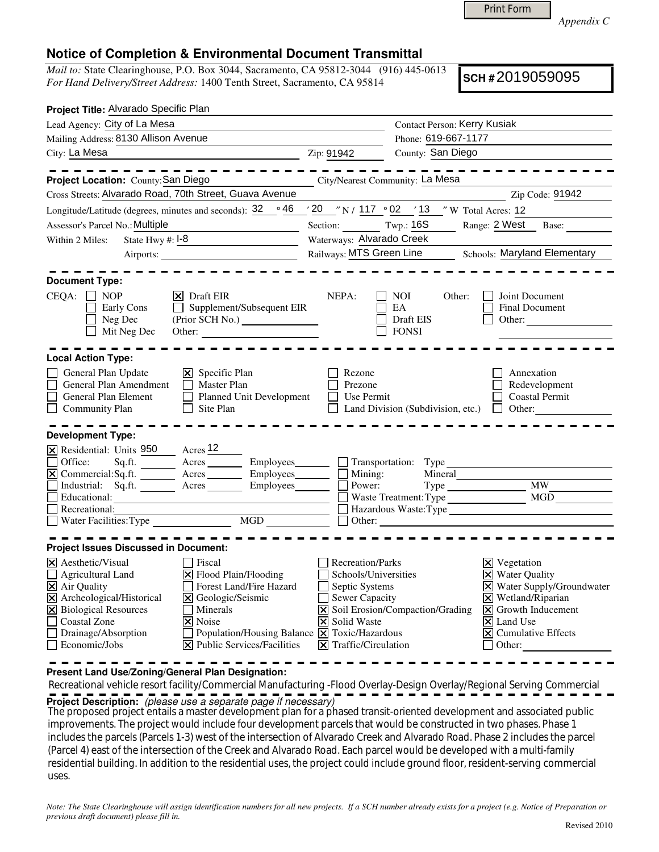| <b>Print Form</b> |  |
|-------------------|--|
|-------------------|--|

*Appendix C* 

## **Notice of Completion & Environmental Document Transmittal**

*Mail to:* State Clearinghouse, P.O. Box 3044, Sacramento, CA 95812-3044 (916) 445-0613 *For Hand Delivery/Street Address:* 1400 Tenth Street, Sacramento, CA 95814

**SCH #** 2019059095

| Project Title: Alvarado Specific Plan                                                                                                                                                                                                        |                                              |                                                                             |                                                                |  |  |  |
|----------------------------------------------------------------------------------------------------------------------------------------------------------------------------------------------------------------------------------------------|----------------------------------------------|-----------------------------------------------------------------------------|----------------------------------------------------------------|--|--|--|
| Lead Agency: City of La Mesa                                                                                                                                                                                                                 |                                              |                                                                             | <b>Contact Person: Kerry Kusiak</b>                            |  |  |  |
| Mailing Address: 8130 Allison Avenue                                                                                                                                                                                                         |                                              |                                                                             | Phone: 619-667-1177                                            |  |  |  |
| City: La Mesa                                                                                                                                                                                                                                | Zip: 91942                                   |                                                                             | County: San Diego                                              |  |  |  |
|                                                                                                                                                                                                                                              |                                              |                                                                             |                                                                |  |  |  |
| Project Location: County: San Diego                                                                                                                                                                                                          |                                              | City/Nearest Community: La Mesa                                             |                                                                |  |  |  |
| Cross Streets: Alvarado Road, 70th Street, Guava Avenue                                                                                                                                                                                      |                                              |                                                                             | Zip Code: 91942                                                |  |  |  |
| Longitude/Latitude (degrees, minutes and seconds): 32                                                                                                                                                                                        | ∘ 46                                         |                                                                             | $'20$ "N / 117 $\circ$ 02 '13 "W Total Acres: 12               |  |  |  |
| Assessor's Parcel No.: Multiple                                                                                                                                                                                                              |                                              | Section: Twp.: 16S                                                          | Range: 2 West Base:                                            |  |  |  |
| State Hwy $#: \mathsf{I}$ -8<br>Within 2 Miles:                                                                                                                                                                                              |                                              | Waterways: Alvarado Creek                                                   |                                                                |  |  |  |
|                                                                                                                                                                                                                                              |                                              | Railways: MTS Green Line<br>Schools: Maryland Elementary                    |                                                                |  |  |  |
|                                                                                                                                                                                                                                              |                                              |                                                                             |                                                                |  |  |  |
| <b>Document Type:</b>                                                                                                                                                                                                                        |                                              |                                                                             |                                                                |  |  |  |
| $CEQA: \Box NP$<br>$ \mathsf{x} $ Draft EIR<br>Early Cons<br>Supplement/Subsequent EIR<br>$\mathbf{L}$<br>Neg Dec<br>Mit Neg Dec<br>Other:                                                                                                   |                                              | NEPA:<br>NOI.<br>EA<br>Draft EIS<br><b>FONSI</b>                            | Joint Document<br>Other:<br><b>Final Document</b><br>Other:    |  |  |  |
| <b>Local Action Type:</b>                                                                                                                                                                                                                    |                                              |                                                                             |                                                                |  |  |  |
| $\boxtimes$ Specific Plan<br>General Plan Update<br>$\Box$ Master Plan<br>General Plan Amendment<br>$\Box$<br>Planned Unit Development<br>General Plan Element<br>П<br>$\Box$ Site Plan<br>$\Box$ Community Plan<br><b>Development Type:</b> |                                              | Rezone<br>Prezone<br>Use Permit<br>Land Division (Subdivision, etc.) $\Box$ | Annexation<br>Redevelopment<br><b>Coastal Permit</b><br>Other: |  |  |  |
| X Residential: Units 950 Acres 12                                                                                                                                                                                                            |                                              |                                                                             |                                                                |  |  |  |
| Sq.ft. _________ Acres __________ Employees________<br>Office:                                                                                                                                                                               |                                              | Transportation: Type                                                        |                                                                |  |  |  |
|                                                                                                                                                                                                                                              |                                              |                                                                             | Mineral                                                        |  |  |  |
| Industrial: Sq.ft. Acres                                                                                                                                                                                                                     |                                              | Power:                                                                      | <b>MW</b>                                                      |  |  |  |
| Educational:                                                                                                                                                                                                                                 |                                              |                                                                             | MGD<br>Waste Treatment: Type                                   |  |  |  |
| Recreational:                                                                                                                                                                                                                                |                                              | $\Box$ Hazardous Waste: Type $\Box$                                         |                                                                |  |  |  |
|                                                                                                                                                                                                                                              |                                              | $\Box$ Other:                                                               | <u> 1986 - Johann Barnett, fransk kongres</u>                  |  |  |  |
| <b>Project Issues Discussed in Document:</b>                                                                                                                                                                                                 |                                              |                                                                             |                                                                |  |  |  |
| $\times$ Aesthetic/Visual<br>l Fiscal                                                                                                                                                                                                        |                                              | Recreation/Parks                                                            | $\times$ Vegetation                                            |  |  |  |
| $\Xi$ Flood Plain/Flooding<br>Agricultural Land                                                                                                                                                                                              |                                              | Schools/Universities                                                        | <b>X</b> Water Quality                                         |  |  |  |
| Forest Land/Fire Hazard<br>$\boxtimes$ Air Quality                                                                                                                                                                                           |                                              | Septic Systems                                                              | X Water Supply/Groundwater                                     |  |  |  |
| X Archeological/Historical<br>X Geologic/Seismic                                                                                                                                                                                             |                                              | Sewer Capacity                                                              | $\times$ Wetland/Riparian                                      |  |  |  |
| X Biological Resources<br>  Minerals                                                                                                                                                                                                         |                                              | $\boxed{\mathsf{X}}$ Soil Erosion/Compaction/Grading                        | $\triangleright$ Growth Inducement                             |  |  |  |
| П<br>Coastal Zone<br><b> × </b> Noise                                                                                                                                                                                                        |                                              | <b>X</b> Solid Waste                                                        | $\vert \mathsf{x} \vert$ Land Use                              |  |  |  |
| $\Box$ Drainage/Absorption                                                                                                                                                                                                                   | Population/Housing Balance X Toxic/Hazardous |                                                                             | $\boxed{\mathsf{X}}$ Cumulative Effects                        |  |  |  |
| $\Box$ Economic/Jobs<br><b>X</b> Public Services/Facilities                                                                                                                                                                                  |                                              | $ \mathbf{\nabla} $ Traffic/Circulation                                     | $\Box$ Other:                                                  |  |  |  |
|                                                                                                                                                                                                                                              |                                              |                                                                             |                                                                |  |  |  |

**Present Land Use/Zoning/General Plan Designation:**

 Recreational vehicle resort facility/Commercial Manufacturing -Flood Overlay-Design Overlay/Regional Serving Commercial **Project Description:** (please use a separate page if necessary)

The proposed project entails a master development plan for a phased transit-oriented development and associated public<br>In account of the project would include formula the propincial distance is the contracted in the planet improvements. The project would include four development parcels that would be constructed in two phases. Phase 1 includes the parcels (Parcels 1-3) west of the intersection of Alvarado Creek and Alvarado Road. Phase 2 includes the parcel (Parcel 4) east of the intersection of the Creek and Alvarado Road. Each parcel would be developed with a multi-family residential building. In addition to the residential uses, the project could include ground floor, resident-serving commercial uses.

*Note: The State Clearinghouse will assign identification numbers for all new projects. If a SCH number already exists for a project (e.g. Notice of Preparation or previous draft document) please fill in.*